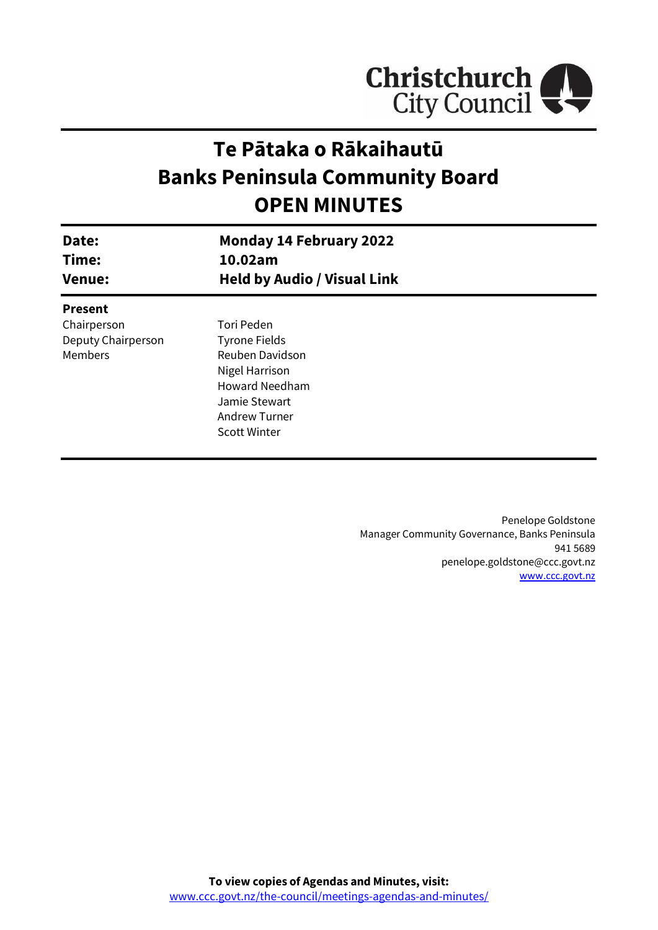

# **Te Pātaka o Rākaihautū Banks Peninsula Community Board OPEN MINUTES**

| Date:<br>Time:<br><b>Venue:</b> | <b>Monday 14 February 2022</b><br>10.02am<br><b>Held by Audio / Visual Link</b> |  |
|---------------------------------|---------------------------------------------------------------------------------|--|
| <b>Present</b>                  |                                                                                 |  |
| Chairperson                     | Tori Peden                                                                      |  |
| Deputy Chairperson              | <b>Tyrone Fields</b>                                                            |  |
| Members                         | Reuben Davidson                                                                 |  |
|                                 | Nigel Harrison                                                                  |  |
|                                 | <b>Howard Needham</b>                                                           |  |
|                                 | Jamie Stewart                                                                   |  |
|                                 | <b>Andrew Turner</b>                                                            |  |
|                                 | <b>Scott Winter</b>                                                             |  |

Penelope Goldstone Manager Community Governance, Banks Peninsula 941 5689 penelope.goldstone@ccc.govt.nz [www.ccc.govt.nz](http://www.ccc.govt.nz/)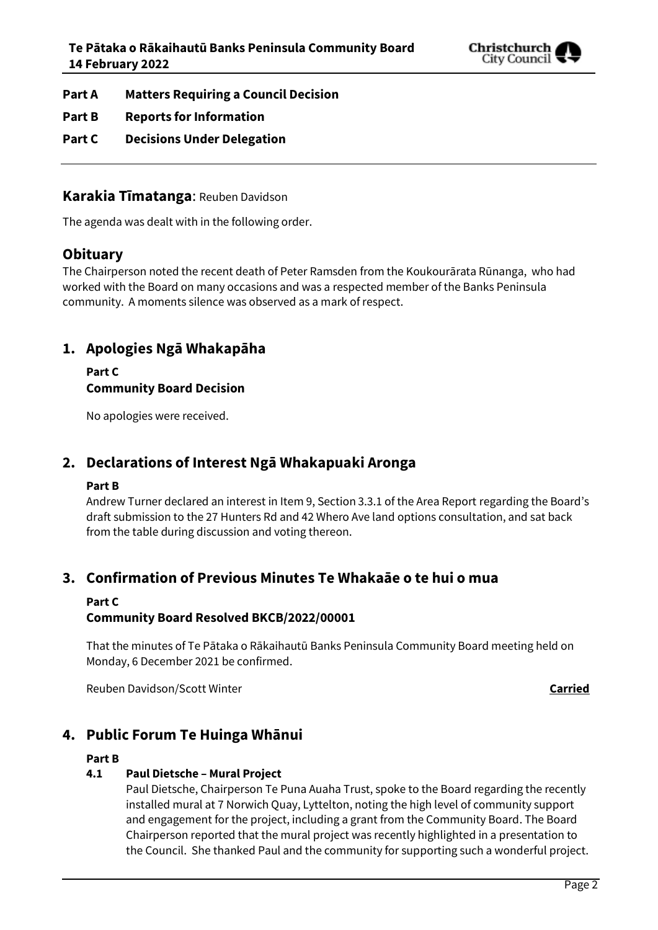

- **Part A Matters Requiring a Council Decision**
- **Part B Reports for Information**
- **Part C Decisions Under Delegation**

### **Karakia Tīmatanga**: Reuben Davidson

The agenda was dealt with in the following order.

# **Obituary**

The Chairperson noted the recent death of Peter Ramsden from the Koukourārata Rūnanga, who had worked with the Board on many occasions and was a respected member of the Banks Peninsula community. A moments silence was observed as a mark of respect.

# **1. Apologies Ngā Whakapāha**

**Part C Community Board Decision**

No apologies were received.

# **2. Declarations of Interest Ngā Whakapuaki Aronga**

### **Part B**

Andrew Turner declared an interest in Item 9, Section 3.3.1 of the Area Report regarding the Board's draft submission to the 27 Hunters Rd and 42 Whero Ave land options consultation, and sat back from the table during discussion and voting thereon.

# **3. Confirmation of Previous Minutes Te Whakaāe o te hui o mua**

### **Part C**

### **Community Board Resolved BKCB/2022/00001**

That the minutes of Te Pātaka o Rākaihautū Banks Peninsula Community Board meeting held on Monday, 6 December 2021 be confirmed.

Reuben Davidson/Scott Winter **Carried**

# **4. Public Forum Te Huinga Whānui**

### **Part B**

### **4.1 Paul Dietsche – Mural Project**

Paul Dietsche, Chairperson Te Puna Auaha Trust, spoke to the Board regarding the recently installed mural at 7 Norwich Quay, Lyttelton, noting the high level of community support and engagement for the project, including a grant from the Community Board. The Board Chairperson reported that the mural project was recently highlighted in a presentation to the Council. She thanked Paul and the community for supporting such a wonderful project.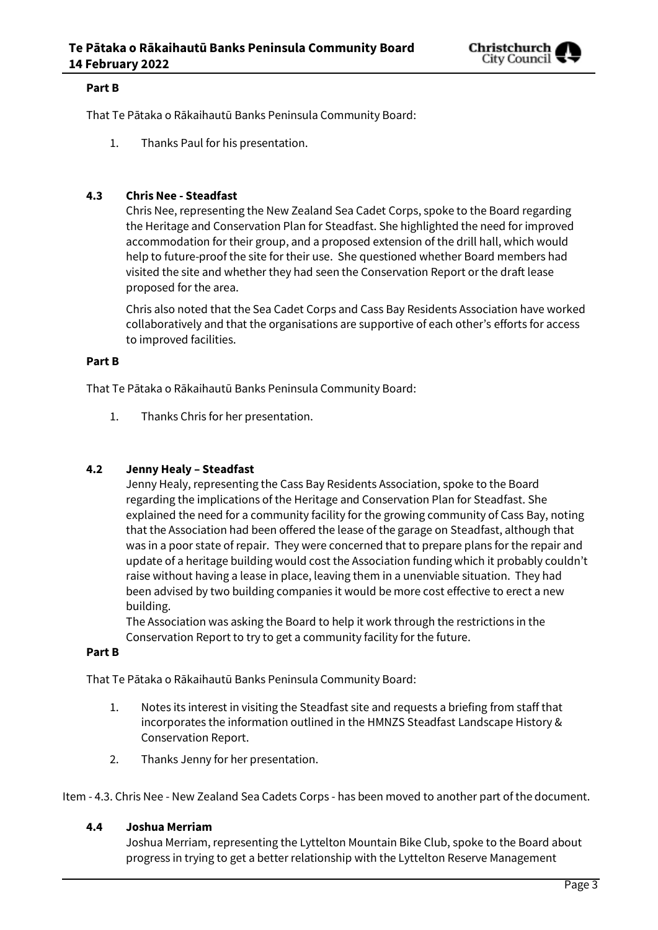

### **Part B**

That Te Pātaka o Rākaihautū Banks Peninsula Community Board:

1. Thanks Paul for his presentation.

### **4.3 Chris Nee - Steadfast**

Chris Nee, representing the New Zealand Sea Cadet Corps, spoke to the Board regarding the Heritage and Conservation Plan for Steadfast. She highlighted the need for improved accommodation for their group, and a proposed extension of the drill hall, which would help to future-proof the site for their use. She questioned whether Board members had visited the site and whether they had seen the Conservation Report or the draft lease proposed for the area.

Chris also noted that the Sea Cadet Corps and Cass Bay Residents Association have worked collaboratively and that the organisations are supportive of each other's efforts for access to improved facilities.

### **Part B**

That Te Pātaka o Rākaihautū Banks Peninsula Community Board:

1. Thanks Chris for her presentation.

### **4.2 Jenny Healy – Steadfast**

Jenny Healy, representing the Cass Bay Residents Association, spoke to the Board regarding the implications of the Heritage and Conservation Plan for Steadfast. She explained the need for a community facility for the growing community of Cass Bay, noting that the Association had been offered the lease of the garage on Steadfast, although that was in a poor state of repair. They were concerned that to prepare plans for the repair and update of a heritage building would cost the Association funding which it probably couldn't raise without having a lease in place, leaving them in a unenviable situation. They had been advised by two building companies it would be more cost effective to erect a new building.

The Association was asking the Board to help it work through the restrictions in the Conservation Report to try to get a community facility for the future.

### **Part B**

That Te Pātaka o Rākaihautū Banks Peninsula Community Board:

- 1. Notes its interest in visiting the Steadfast site and requests a briefing from staff that incorporates the information outlined in the HMNZS Steadfast Landscape History & Conservation Report.
- 2. Thanks Jenny for her presentation.

Item - 4.3. Chris Nee - New Zealand Sea Cadets Corps - has been moved to another part of the document.

### **4.4 Joshua Merriam**

Joshua Merriam, representing the Lyttelton Mountain Bike Club, spoke to the Board about progress in trying to get a better relationship with the Lyttelton Reserve Management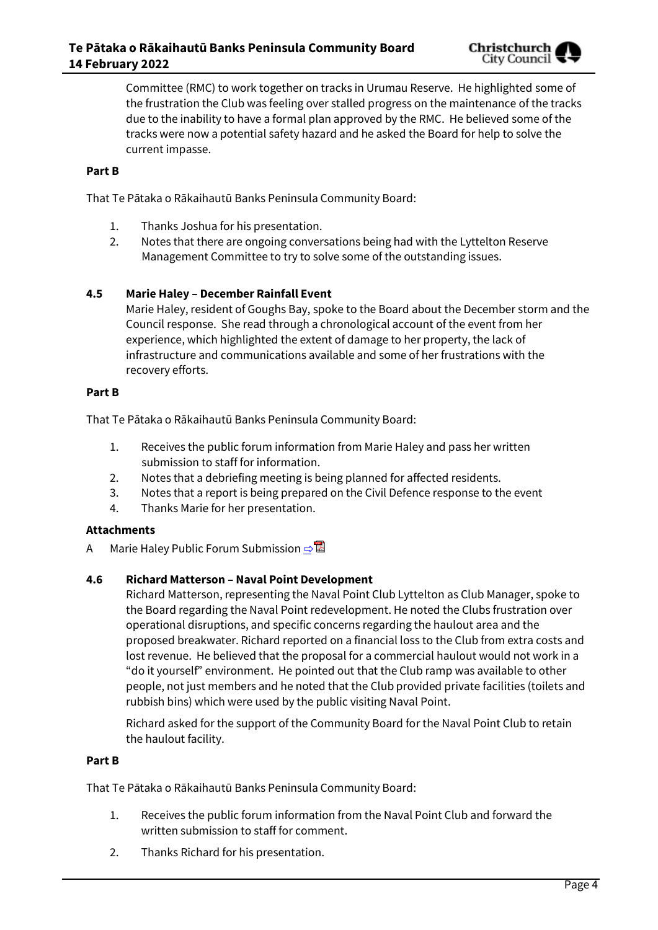

Committee (RMC) to work together on tracks in Urumau Reserve. He highlighted some of the frustration the Club was feeling over stalled progress on the maintenance of the tracks due to the inability to have a formal plan approved by the RMC. He believed some of the tracks were now a potential safety hazard and he asked the Board for help to solve the current impasse.

### **Part B**

That Te Pātaka o Rākaihautū Banks Peninsula Community Board:

- 1. Thanks Joshua for his presentation.
- 2. Notes that there are ongoing conversations being had with the Lyttelton Reserve Management Committee to try to solve some of the outstanding issues.

### **4.5 Marie Haley – December Rainfall Event**

Marie Haley, resident of Goughs Bay, spoke to the Board about the December storm and the Council response. She read through a chronological account of the event from her experience, which highlighted the extent of damage to her property, the lack of infrastructure and communications available and some of her frustrations with the recovery efforts.

### **Part B**

That Te Pātaka o Rākaihautū Banks Peninsula Community Board:

- 1. Receives the public forum information from Marie Haley and pass her written submission to staff for information.
- 2. Notes that a debriefing meeting is being planned for affected residents.
- 3. Notes that a report is being prepared on the Civil Defence response to the event
- 4. Thanks Marie for her presentation.

### **Attachments**

A Marie Haley Public Forum Submission **[⇨](../../../RedirectToInvalidFileName.aspx?FileName=BKCB_20220214_MAT_7653.PDF#PAGE=3)</u>** 

### **4.6 Richard Matterson – Naval Point Development**

Richard Matterson, representing the Naval Point Club Lyttelton as Club Manager, spoke to the Board regarding the Naval Point redevelopment. He noted the Clubs frustration over operational disruptions, and specific concerns regarding the haulout area and the proposed breakwater. Richard reported on a financial loss to the Club from extra costs and lost revenue. He believed that the proposal for a commercial haulout would not work in a "do it yourself" environment. He pointed out that the Club ramp was available to other people, not just members and he noted that the Club provided private facilities (toilets and rubbish bins) which were used by the public visiting Naval Point.

Richard asked for the support of the Community Board for the Naval Point Club to retain the haulout facility.

### **Part B**

That Te Pātaka o Rākaihautū Banks Peninsula Community Board:

- 1. Receives the public forum information from the Naval Point Club and forward the written submission to staff for comment.
- 2. Thanks Richard for his presentation.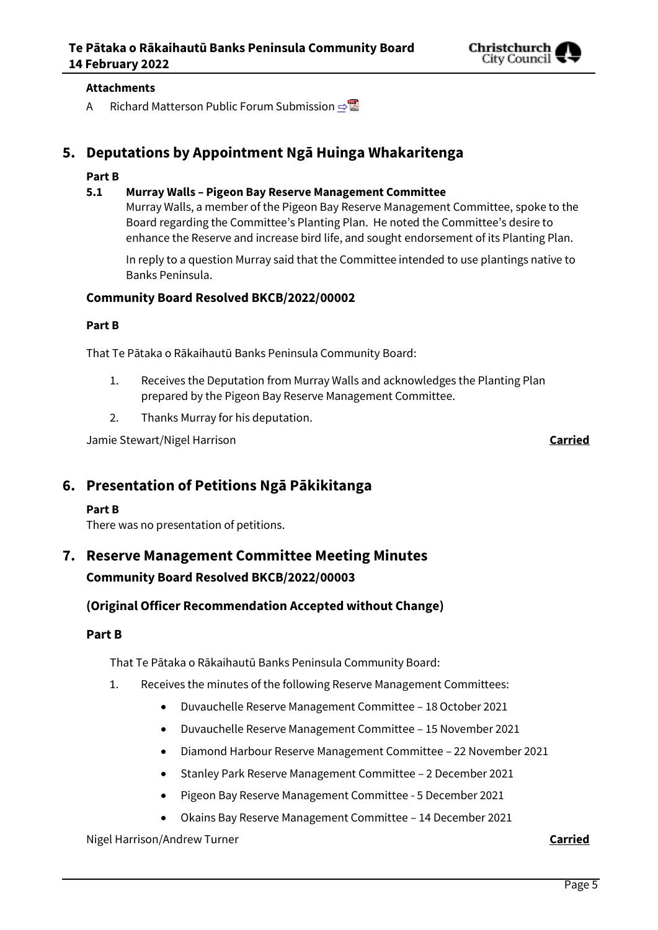

### **Attachments**

A Richard Matterson Public Forum Submission **[⇨](../../../RedirectToInvalidFileName.aspx?FileName=BKCB_20220214_MAT_7653.PDF#PAGE=8)** 

# **5. Deputations by Appointment Ngā Huinga Whakaritenga**

### **Part B**

### **5.1 Murray Walls – Pigeon Bay Reserve Management Committee**

Murray Walls, a member of the Pigeon Bay Reserve Management Committee, spoke to the Board regarding the Committee's Planting Plan. He noted the Committee's desire to enhance the Reserve and increase bird life, and sought endorsement of its Planting Plan.

In reply to a question Murray said that the Committee intended to use plantings native to Banks Peninsula.

### **Community Board Resolved BKCB/2022/00002**

### **Part B**

That Te Pātaka o Rākaihautū Banks Peninsula Community Board:

- 1. Receives the Deputation from Murray Walls and acknowledges the Planting Plan prepared by the Pigeon Bay Reserve Management Committee.
- 2. Thanks Murray for his deputation.

Jamie Stewart/Nigel Harrison **Carried**

# **6. Presentation of Petitions Ngā Pākikitanga**

### **Part B**

There was no presentation of petitions.

# **7. Reserve Management Committee Meeting Minutes Community Board Resolved BKCB/2022/00003**

### **(Original Officer Recommendation Accepted without Change)**

### **Part B**

That Te Pātaka o Rākaihautū Banks Peninsula Community Board:

- 1. Receives the minutes of the following Reserve Management Committees:
	- Duvauchelle Reserve Management Committee 18 October 2021
	- Duvauchelle Reserve Management Committee 15 November 2021
	- Diamond Harbour Reserve Management Committee 22 November 2021
	- Stanley Park Reserve Management Committee 2 December 2021
	- Pigeon Bay Reserve Management Committee 5 December 2021
	- Okains Bay Reserve Management Committee 14 December 2021

Nigel Harrison/Andrew Turner **Carried**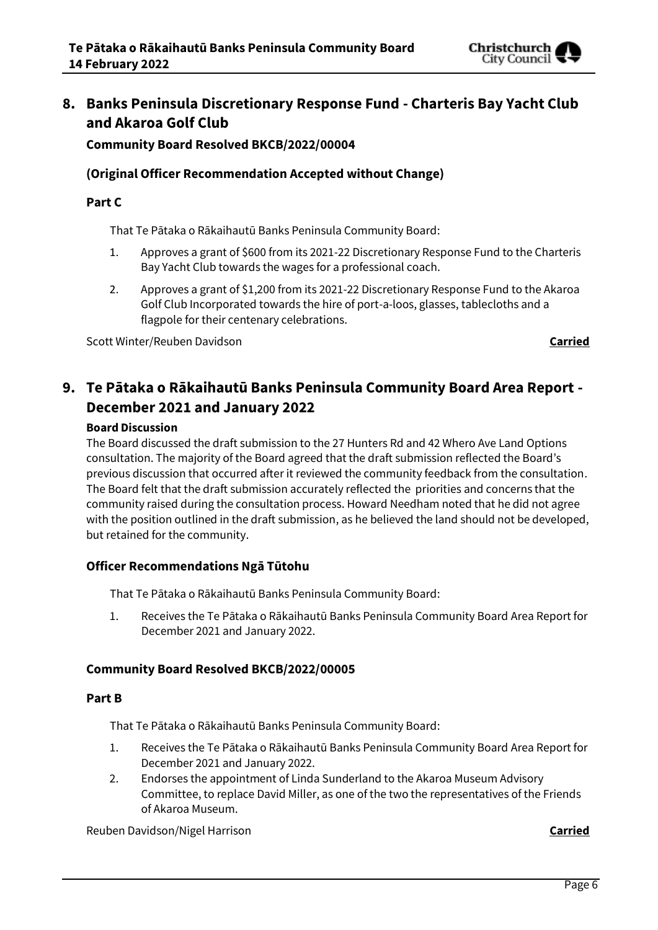

# **8. Banks Peninsula Discretionary Response Fund - Charteris Bay Yacht Club and Akaroa Golf Club**

**Community Board Resolved BKCB/2022/00004**

### **(Original Officer Recommendation Accepted without Change)**

### **Part C**

That Te Pātaka o Rākaihautū Banks Peninsula Community Board:

- 1. Approves a grant of \$600 from its 2021-22 Discretionary Response Fund to the Charteris Bay Yacht Club towards the wages for a professional coach.
- 2. Approves a grant of \$1,200 from its 2021-22 Discretionary Response Fund to the Akaroa Golf Club Incorporated towards the hire of port-a-loos, glasses, tablecloths and a flagpole for their centenary celebrations.

Scott Winter/Reuben Davidson **Carried**

# **9. Te Pātaka o Rākaihautū Banks Peninsula Community Board Area Report - December 2021 and January 2022**

### **Board Discussion**

The Board discussed the draft submission to the 27 Hunters Rd and 42 Whero Ave Land Options consultation. The majority of the Board agreed that the draft submission reflected the Board's previous discussion that occurred after it reviewed the community feedback from the consultation. The Board felt that the draft submission accurately reflected the priorities and concerns that the community raised during the consultation process. Howard Needham noted that he did not agree with the position outlined in the draft submission, as he believed the land should not be developed, but retained for the community.

### **Officer Recommendations Ngā Tūtohu**

That Te Pātaka o Rākaihautū Banks Peninsula Community Board:

1. Receives the Te Pātaka o Rākaihautū Banks Peninsula Community Board Area Report for December 2021 and January 2022.

### **Community Board Resolved BKCB/2022/00005**

### **Part B**

That Te Pātaka o Rākaihautū Banks Peninsula Community Board:

- 1. Receives the Te Pātaka o Rākaihautū Banks Peninsula Community Board Area Report for December 2021 and January 2022.
- 2. Endorses the appointment of Linda Sunderland to the Akaroa Museum Advisory Committee, to replace David Miller, as one of the two the representatives of the Friends of Akaroa Museum.

Reuben Davidson/Nigel Harrison **Carried**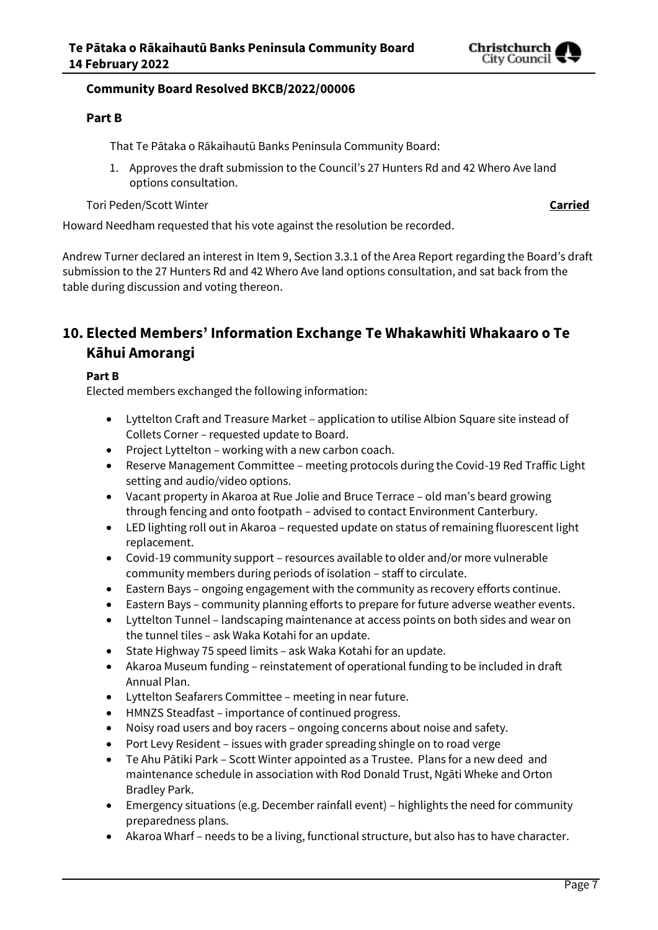

### **Community Board Resolved BKCB/2022/00006**

### **Part B**

That Te Pātaka o Rākaihautū Banks Peninsula Community Board:

1. Approves the draft submission to the Council's 27 Hunters Rd and 42 Whero Ave land options consultation.

Tori Peden/Scott Winter **Carried**

Howard Needham requested that his vote against the resolution be recorded.

Andrew Turner declared an interest in Item 9, Section 3.3.1 of the Area Report regarding the Board's draft submission to the 27 Hunters Rd and 42 Whero Ave land options consultation, and sat back from the table during discussion and voting thereon.

# **10. Elected Members' Information Exchange Te Whakawhiti Whakaaro o Te Kāhui Amorangi**

### **Part B**

Elected members exchanged the following information:

- Lyttelton Craft and Treasure Market application to utilise Albion Square site instead of Collets Corner – requested update to Board.
- Project Lyttelton working with a new carbon coach.
- Reserve Management Committee meeting protocols during the Covid-19 Red Traffic Light setting and audio/video options.
- Vacant property in Akaroa at Rue Jolie and Bruce Terrace old man's beard growing through fencing and onto footpath – advised to contact Environment Canterbury.
- LED lighting roll out in Akaroa requested update on status of remaining fluorescent light replacement.
- Covid-19 community support resources available to older and/or more vulnerable community members during periods of isolation – staff to circulate.
- Eastern Bays ongoing engagement with the community as recovery efforts continue.
- Eastern Bays community planning efforts to prepare for future adverse weather events.
- Lyttelton Tunnel landscaping maintenance at access points on both sides and wear on the tunnel tiles – ask Waka Kotahi for an update.
- State Highway 75 speed limits ask Waka Kotahi for an update.
- Akaroa Museum funding reinstatement of operational funding to be included in draft Annual Plan.
- Lyttelton Seafarers Committee meeting in near future.
- HMNZS Steadfast importance of continued progress.
- Noisy road users and boy racers ongoing concerns about noise and safety.
- Port Levy Resident issues with grader spreading shingle on to road verge
- Te Ahu Pātiki Park Scott Winter appointed as a Trustee. Plans for a new deed and maintenance schedule in association with Rod Donald Trust, Ngāti Wheke and Orton Bradley Park.
- Emergency situations (e.g. December rainfall event) highlights the need for community preparedness plans.
- Akaroa Wharf needs to be a living, functional structure, but also has to have character.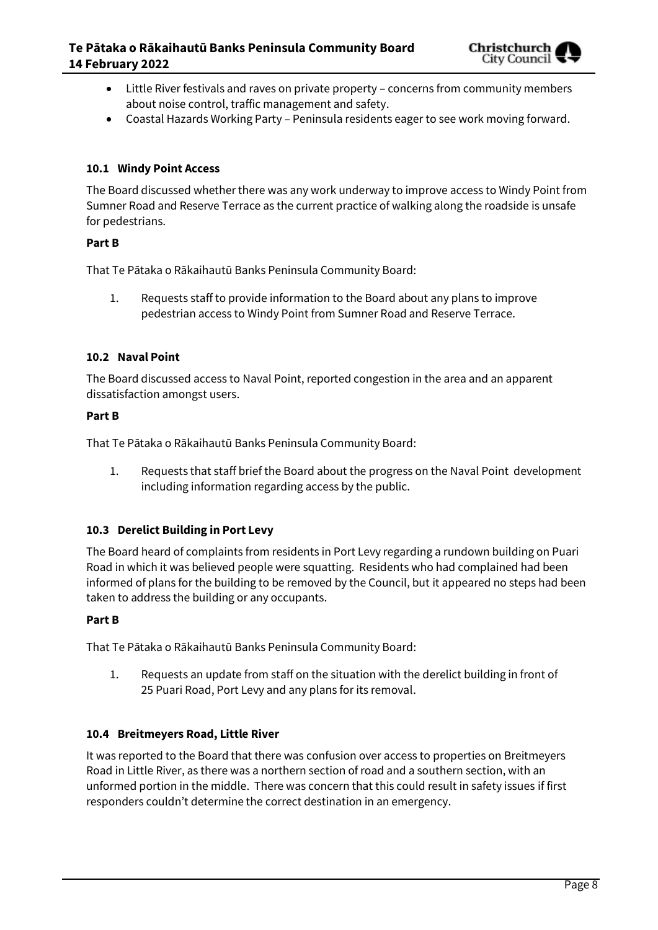

- Little River festivals and raves on private property concerns from community members about noise control, traffic management and safety.
- Coastal Hazards Working Party Peninsula residents eager to see work moving forward.

### **10.1 Windy Point Access**

The Board discussed whether there was any work underway to improve access to Windy Point from Sumner Road and Reserve Terrace as the current practice of walking along the roadside is unsafe for pedestrians.

### **Part B**

That Te Pātaka o Rākaihautū Banks Peninsula Community Board:

1. Requests staff to provide information to the Board about any plans to improve pedestrian access to Windy Point from Sumner Road and Reserve Terrace.

### **10.2 Naval Point**

The Board discussed access to Naval Point, reported congestion in the area and an apparent dissatisfaction amongst users.

### **Part B**

That Te Pātaka o Rākaihautū Banks Peninsula Community Board:

1. Requests that staff brief the Board about the progress on the Naval Point development including information regarding access by the public.

### **10.3 Derelict Building in Port Levy**

The Board heard of complaints from residents in Port Levy regarding a rundown building on Puari Road in which it was believed people were squatting. Residents who had complained had been informed of plans for the building to be removed by the Council, but it appeared no steps had been taken to address the building or any occupants.

### **Part B**

That Te Pātaka o Rākaihautū Banks Peninsula Community Board:

1. Requests an update from staff on the situation with the derelict building in front of 25 Puari Road, Port Levy and any plans for its removal.

### **10.4 Breitmeyers Road, Little River**

It was reported to the Board that there was confusion over access to properties on Breitmeyers Road in Little River, as there was a northern section of road and a southern section, with an unformed portion in the middle. There was concern that this could result in safety issues if first responders couldn't determine the correct destination in an emergency.